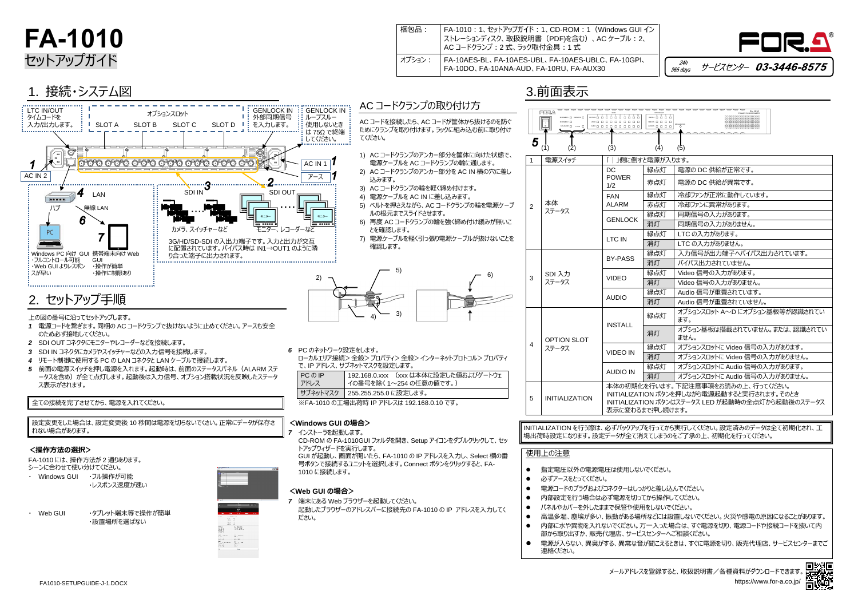

## **FA-1010** セットアップガイド

| 梱包品:   | FA-1010 : 1、セットアップガイド : 1、CD-ROM : 1 (Windows GUI イン<br>  ストレーションディスク、取扱説明書(PDF)を含む)、AC ケーブル : 2、<br>  AC コードクランプ : 2 式、ラック取付金具 : 1 式 |
|--------|---------------------------------------------------------------------------------------------------------------------------------------|
| オプション: | FA-10AES-BL、FA-10AES-UBL、FA-10AES-UBLC、FA-10GPI、<br>FA-10DO、FA-10ANA-AUD、FA-10RU、FA-AUX30                                             |

## 3.前面表示

INITIALIZATION を行う際は、必ずバックアップを行ってから実行してください。設定済みのデータは全て初期化され、工 場出荷時設定になります。設定データが全て消えてしまうのをご了承の上、初期化を行ってください。

● 高温多湿、塵埃が多い、振動がある場所などには設置しないでください。火災や感電の原因になることがあります。 ⚫ 内部に水や異物を入れないでください。万一入った場合は、すぐ電源を切り、電源コードや接続コードを抜いて内 ● 電源が入らない、異臭がする、異常な音が聞こえるときは、すぐに電源を切り、販売代理店、サービスセンターまでご

| *** ㅎㅎㅎ<br>$\begin{array}{cccccccccccccc} \text{WED} & \text{D} & \text{D} & \text{D} & \text{D} & \text{D} & \text{D} & \text{D} & \text{D} & \text{D} & \text{D} & \text{D} & \text{D} & \text{D} & \text{D} & \text{D} & \text{D} & \text{D} & \text{D} & \text{D} & \text{D} & \text{D} & \text{D} & \text{D} & \text{D} & \text{D} & \text{D} & \text{D} & \text{D} & \text{D} & \text{D} & \text{D} & \text{D} & \text{D} & \text{D}$<br>ADDR 0 0 0 0 | FA-1010<br>$\sum_{i=1}^{n}$                                                                           |  |  |  |  |  |  |  |
|-------------------------------------------------------------------------------------------------------------------------------------------------------------------------------------------------------------------------------------------------------------------------------------------------------------------------------------------------------------------------------------------------------------------------------------------------------------|-------------------------------------------------------------------------------------------------------|--|--|--|--|--|--|--|
| (4)                                                                                                                                                                                                                                                                                                                                                                                                                                                         | (5)                                                                                                   |  |  |  |  |  |  |  |
| 電源が入ります。                                                                                                                                                                                                                                                                                                                                                                                                                                                    |                                                                                                       |  |  |  |  |  |  |  |
| 緑点灯                                                                                                                                                                                                                                                                                                                                                                                                                                                         | 電源の DC 供給が正常です。                                                                                       |  |  |  |  |  |  |  |
| 赤点灯                                                                                                                                                                                                                                                                                                                                                                                                                                                         | 電源の DC 供給が異常です。                                                                                       |  |  |  |  |  |  |  |
| 緑点灯                                                                                                                                                                                                                                                                                                                                                                                                                                                         | 冷却ファンが正常に動作しています。                                                                                     |  |  |  |  |  |  |  |
| 赤点灯                                                                                                                                                                                                                                                                                                                                                                                                                                                         | 冷却ファンに異常があります。                                                                                        |  |  |  |  |  |  |  |
| 緑点灯                                                                                                                                                                                                                                                                                                                                                                                                                                                         | 同期信号の入力があります。                                                                                         |  |  |  |  |  |  |  |
| 消灯                                                                                                                                                                                                                                                                                                                                                                                                                                                          | 同期信号の入力がありません。                                                                                        |  |  |  |  |  |  |  |
| 緑点灯                                                                                                                                                                                                                                                                                                                                                                                                                                                         | LTC の入力があります。                                                                                         |  |  |  |  |  |  |  |
| 消灯                                                                                                                                                                                                                                                                                                                                                                                                                                                          | LTC の入力がありません。                                                                                        |  |  |  |  |  |  |  |
| 緑点灯                                                                                                                                                                                                                                                                                                                                                                                                                                                         | 入力信号が出力端子へバイパス出力されています。                                                                               |  |  |  |  |  |  |  |
| 消灯                                                                                                                                                                                                                                                                                                                                                                                                                                                          | バイパス出力されていません。                                                                                        |  |  |  |  |  |  |  |
| 緑点灯                                                                                                                                                                                                                                                                                                                                                                                                                                                         | Video 信号の入力があります。                                                                                     |  |  |  |  |  |  |  |
| 消灯                                                                                                                                                                                                                                                                                                                                                                                                                                                          | Video 信号の入力がありません。                                                                                    |  |  |  |  |  |  |  |
| 緑点灯                                                                                                                                                                                                                                                                                                                                                                                                                                                         | Audio 信号が重畳されています。                                                                                    |  |  |  |  |  |  |  |
| 消灯                                                                                                                                                                                                                                                                                                                                                                                                                                                          | Audio 信号が重畳されていません。                                                                                   |  |  |  |  |  |  |  |
| 緑点灯                                                                                                                                                                                                                                                                                                                                                                                                                                                         | オプションスロット A~D にオプション基板等が認識されてい<br>ます。                                                                 |  |  |  |  |  |  |  |
| 消灯                                                                                                                                                                                                                                                                                                                                                                                                                                                          | オプション基板は搭載されていません。または、認識されてい<br>ません。                                                                  |  |  |  |  |  |  |  |
| 緑点灯                                                                                                                                                                                                                                                                                                                                                                                                                                                         | オプションスロットに Video 信号の入力があります。                                                                          |  |  |  |  |  |  |  |
| 消灯                                                                                                                                                                                                                                                                                                                                                                                                                                                          | オプションスロットに Video 信号の入力がありません。                                                                         |  |  |  |  |  |  |  |
| 緑点灯                                                                                                                                                                                                                                                                                                                                                                                                                                                         | オプションスロットに Audio 信号の入力があります。                                                                          |  |  |  |  |  |  |  |
| 消灯                                                                                                                                                                                                                                                                                                                                                                                                                                                          | オプションスロットに Audio 信号の入力がありません。                                                                         |  |  |  |  |  |  |  |
| で押し続けます。                                                                                                                                                                                                                                                                                                                                                                                                                                                    | ?行います。下記注意事項をお読みの上、行ってください。<br>)N ボタンを押しながら電源起動すると実行されます。そのとき<br>)N ボタンはステータス LED が起動時の全点灯から起動後のステータス |  |  |  |  |  |  |  |



メールアドレスを登録すると、取扱説明書/各種資料がダウンロードできます。 <mark>ほかに恒</mark><br>■ <mark>決がに</mark>重 https://www.for-a.co.jp/



## 1. 接続・システム図